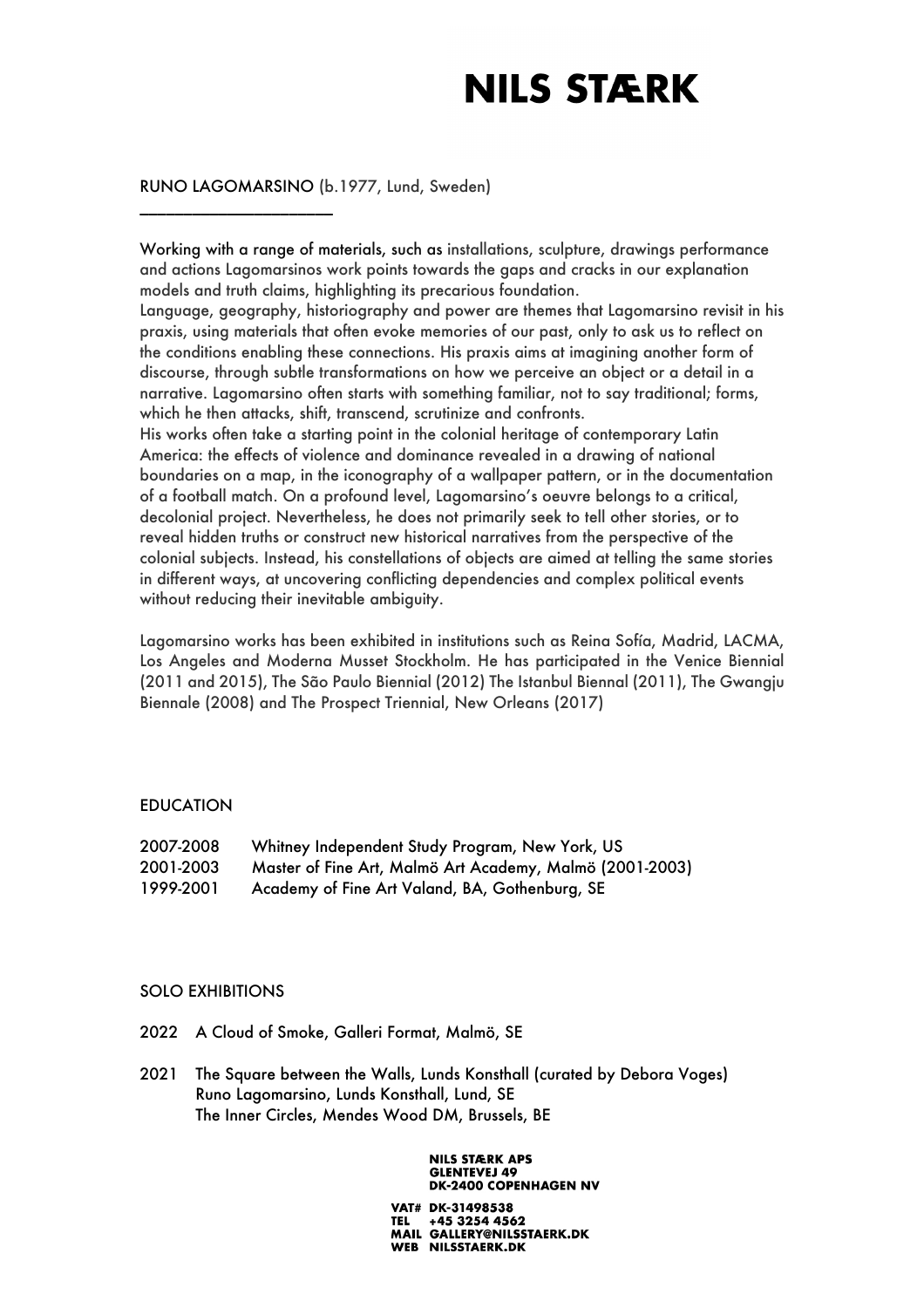## RUNO LAGOMARSINO (b.1977, Lund, Sweden)

\_\_\_\_\_\_\_\_\_\_\_\_\_\_\_\_\_\_\_\_\_\_

Working with a range of materials, such as installations, sculpture, drawings performance and actions Lagomarsinos work points towards the gaps and cracks in our explanation models and truth claims, highlighting its precarious foundation.

Language, geography, historiography and power are themes that Lagomarsino revisit in his praxis, using materials that often evoke memories of our past, only to ask us to reflect on the conditions enabling these connections. His praxis aims at imagining another form of discourse, through subtle transformations on how we perceive an object or a detail in a narrative. Lagomarsino often starts with something familiar, not to say traditional; forms, which he then attacks, shift, transcend, scrutinize and confronts.

His works often take a starting point in the colonial heritage of contemporary Latin America: the effects of violence and dominance revealed in a drawing of national boundaries on a map, in the iconography of a wallpaper pattern, or in the documentation of a football match. On a profound level, Lagomarsino's oeuvre belongs to a critical, decolonial project. Nevertheless, he does not primarily seek to tell other stories, or to reveal hidden truths or construct new historical narratives from the perspective of the colonial subjects. Instead, his constellations of objects are aimed at telling the same stories in different ways, at uncovering conflicting dependencies and complex political events without reducing their inevitable ambiguity.

Lagomarsino works has been exhibited in institutions such as Reina Sofía, Madrid, LACMA, Los Angeles and Moderna Musset Stockholm. He has participated in the Venice Biennial (2011 and 2015), The São Paulo Biennial (2012) The Istanbul Biennal (2011), The Gwangju Biennale (2008) and The Prospect Triennial, New Orleans (2017)

### EDUCATION

| 2007-2008 | Whitney Independent Study Program, New York, US          |
|-----------|----------------------------------------------------------|
| 2001-2003 | Master of Fine Art, Malmö Art Academy, Malmö (2001-2003) |
| 1999-2001 | Academy of Fine Art Valand, BA, Gothenburg, SE           |

### SOLO EXHIBITIONS

- 2022 A Cloud of Smoke, Galleri Format, Malmö, SE
- 2021 The Square between the Walls, Lunds Konsthall (curated by Debora Voges) Runo Lagomarsino, Lunds Konsthall, Lund, SE The Inner Circles, Mendes Wood DM, Brussels, BE

#### **NILS STÆRK APS GLENTEVEJ 49 DK-2400 COPENHAGEN NV**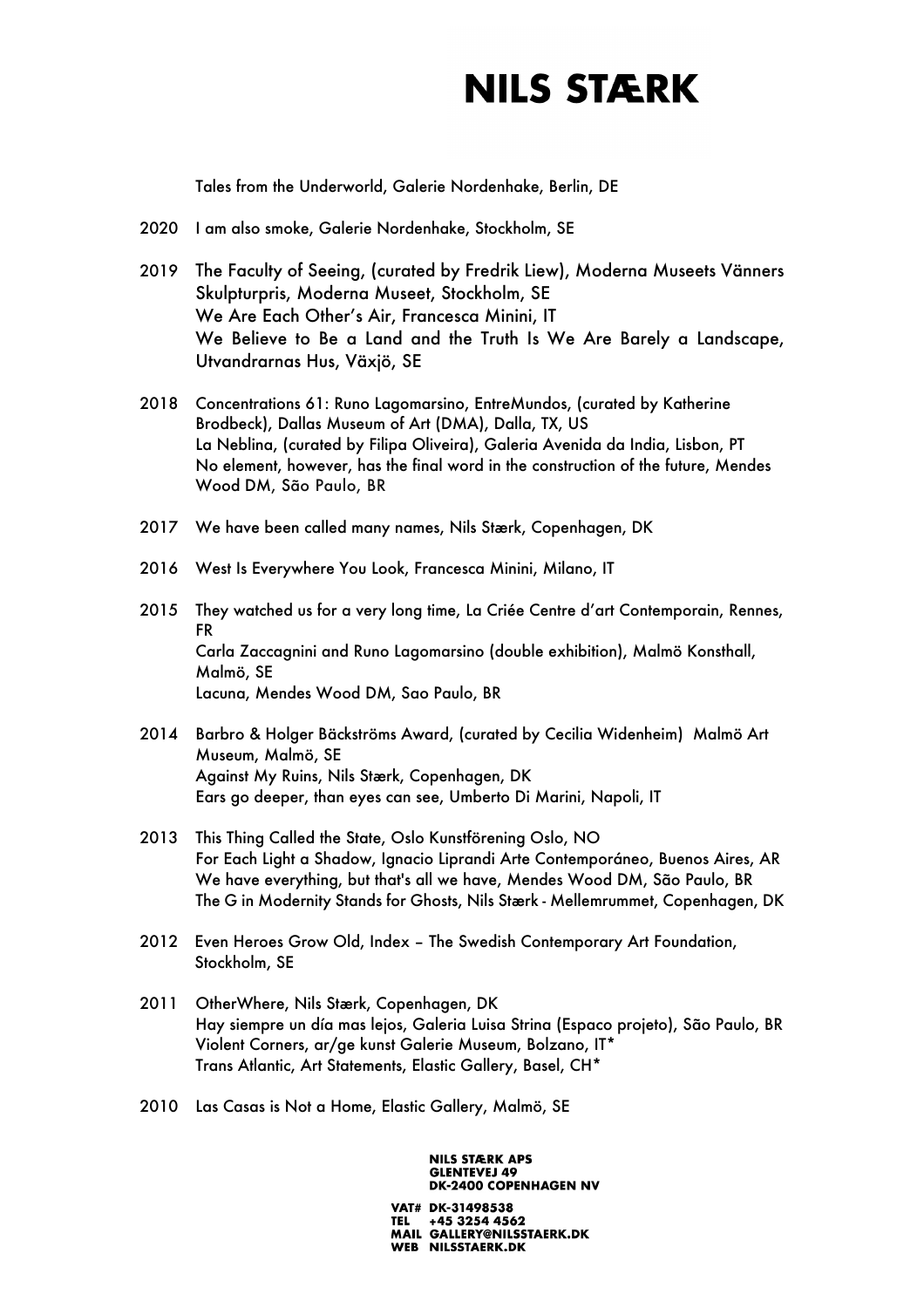Tales from the Underworld, Galerie Nordenhake, Berlin, DE

- 2020 I am also smoke, Galerie Nordenhake, Stockholm, SE
- 2019 The Faculty of Seeing, (curated by Fredrik Liew), Moderna Museets Vänners Skulpturpris, Moderna Museet, Stockholm, SE We Are Each Other's Air, Francesca Minini, IT We Believe to Be a Land and the Truth Is We Are Barely a Landscape, Utvandrarnas Hus, Växjö, SE
- 2018 Concentrations 61: Runo Lagomarsino, EntreMundos, (curated by Katherine Brodbeck), Dallas Museum of Art (DMA), Dalla, TX, US La Neblina, (curated by Filipa Oliveira), Galeria Avenida da India, Lisbon, PT No element, however, has the final word in the construction of the future, Mendes Wood DM, São Paulo, BR
- 2017 We have been called many names, Nils Stærk, Copenhagen, DK
- 2016 West Is Everywhere You Look, Francesca Minini, Milano, IT
- 2015 They watched us for a very long time, La Criée Centre d'art Contemporain, Rennes, FR Carla Zaccagnini and Runo Lagomarsino (double exhibition), Malmö Konsthall, Malmö, SE Lacuna, Mendes Wood DM, Sao Paulo, BR
- 2014 Barbro & Holger Bäckströms Award, (curated by Cecilia Widenheim) Malmö Art Museum, Malmö, SE Against My Ruins, Nils Stærk, Copenhagen, DK Ears go deeper, than eyes can see, Umberto Di Marini, Napoli, IT
- 2013 This Thing Called the State, Oslo Kunstförening Oslo, NO For Each Light a Shadow, Ignacio Liprandi Arte Contemporáneo, Buenos Aires, AR We have everything, but that's all we have, Mendes Wood DM, São Paulo, BR The G in Modernity Stands for Ghosts, Nils Stærk - Mellemrummet, Copenhagen, DK
- 2012 Even Heroes Grow Old, Index The Swedish Contemporary Art Foundation, Stockholm, SE
- 2011 OtherWhere, Nils Stærk, Copenhagen, DK Hay siempre un día mas lejos, Galeria Luisa Strina (Espaco projeto), São Paulo, BR Violent Corners, ar/ge kunst Galerie Museum, Bolzano, IT\* Trans Atlantic, Art Statements, Elastic Gallery, Basel, CH\*
- 2010 Las Casas is Not a Home, Elastic Gallery, Malmö, SE

#### **NILS STÆRK APS GLENTEVEJ 49 DK-2400 COPENHAGEN NV**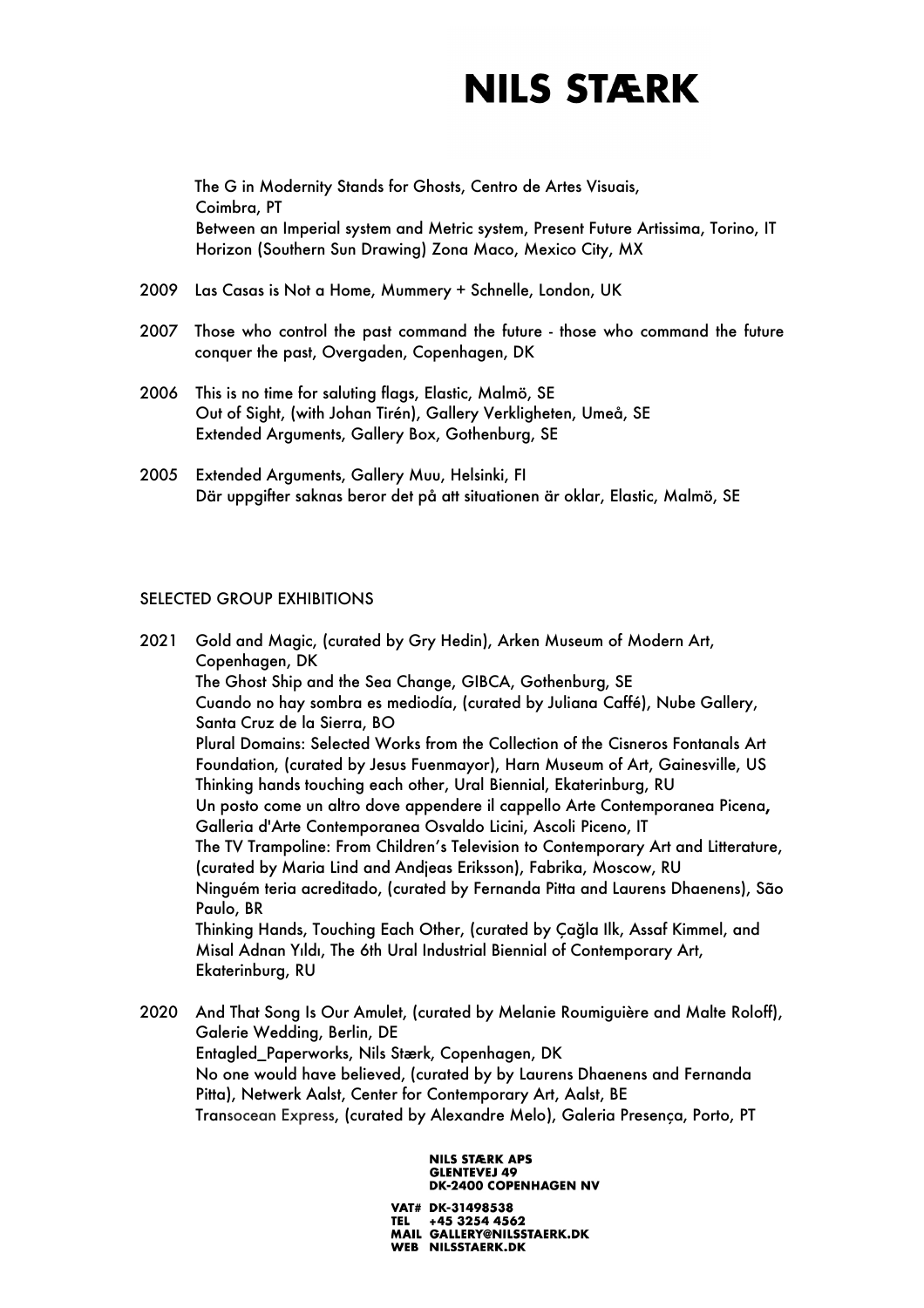The G in Modernity Stands for Ghosts, Centro de Artes Visuais, Coimbra, PT Between an Imperial system and Metric system, Present Future Artissima, Torino, IT Horizon (Southern Sun Drawing) Zona Maco, Mexico City, MX

- 2009 Las Casas is Not a Home, Mummery + Schnelle, London, UK
- 2007 Those who control the past command the future those who command the future conquer the past, Overgaden, Copenhagen, DK
- 2006 This is no time for saluting flags, Elastic, Malmö, SE Out of Sight, (with Johan Tirén), Gallery Verkligheten, Umeå, SE Extended Arguments, Gallery Box, Gothenburg, SE
- 2005 Extended Arguments, Gallery Muu, Helsinki, FI Där uppgifter saknas beror det på att situationen är oklar, Elastic, Malmö, SE

### SELECTED GROUP EXHIBITIONS

2021 Gold and Magic, (curated by Gry Hedin), Arken Museum of Modern Art, Copenhagen, DK The Ghost Ship and the Sea Change, GIBCA, Gothenburg, SE Cuando no hay sombra es mediodía, (curated by Juliana Caffé), Nube Gallery, Santa Cruz de la Sierra, BO Plural Domains: Selected Works from the Collection of the Cisneros Fontanals Art Foundation, (curated by Jesus Fuenmayor), Harn Museum of Art, Gainesville, US Thinking hands touching each other, Ural Biennial, Ekaterinburg, RU Un posto come un altro dove appendere il cappello Arte Contemporanea Picena, Galleria d'Arte Contemporanea Osvaldo Licini, Ascoli Piceno, IT The TV Trampoline: From Children's Television to Contemporary Art and Litterature, (curated by Maria Lind and Andjeas Eriksson), Fabrika, Moscow, RU Ninguém teria acreditado, (curated by Fernanda Pitta and Laurens Dhaenens), São Paulo, BR Thinking Hands, Touching Each Other, (curated by Çağla Ilk, Assaf Kimmel, and Misal Adnan Yıldı, The 6th Ural Industrial Biennial of Contemporary Art, Ekaterinburg, RU

2020 And That Song Is Our Amulet, (curated by Melanie Roumiguière and Malte Roloff), Galerie Wedding, Berlin, DE Entagled\_Paperworks, Nils Stærk, Copenhagen, DK No one would have believed, (curated by by Laurens Dhaenens and Fernanda Pitta), Netwerk Aalst, Center for Contemporary Art, Aalst, BE Transocean Express, (curated by Alexandre Melo), Galeria Presença, Porto, PT

#### **NILS STÆRK APS GLENTEVEJ 49 DK-2400 COPENHAGEN NV**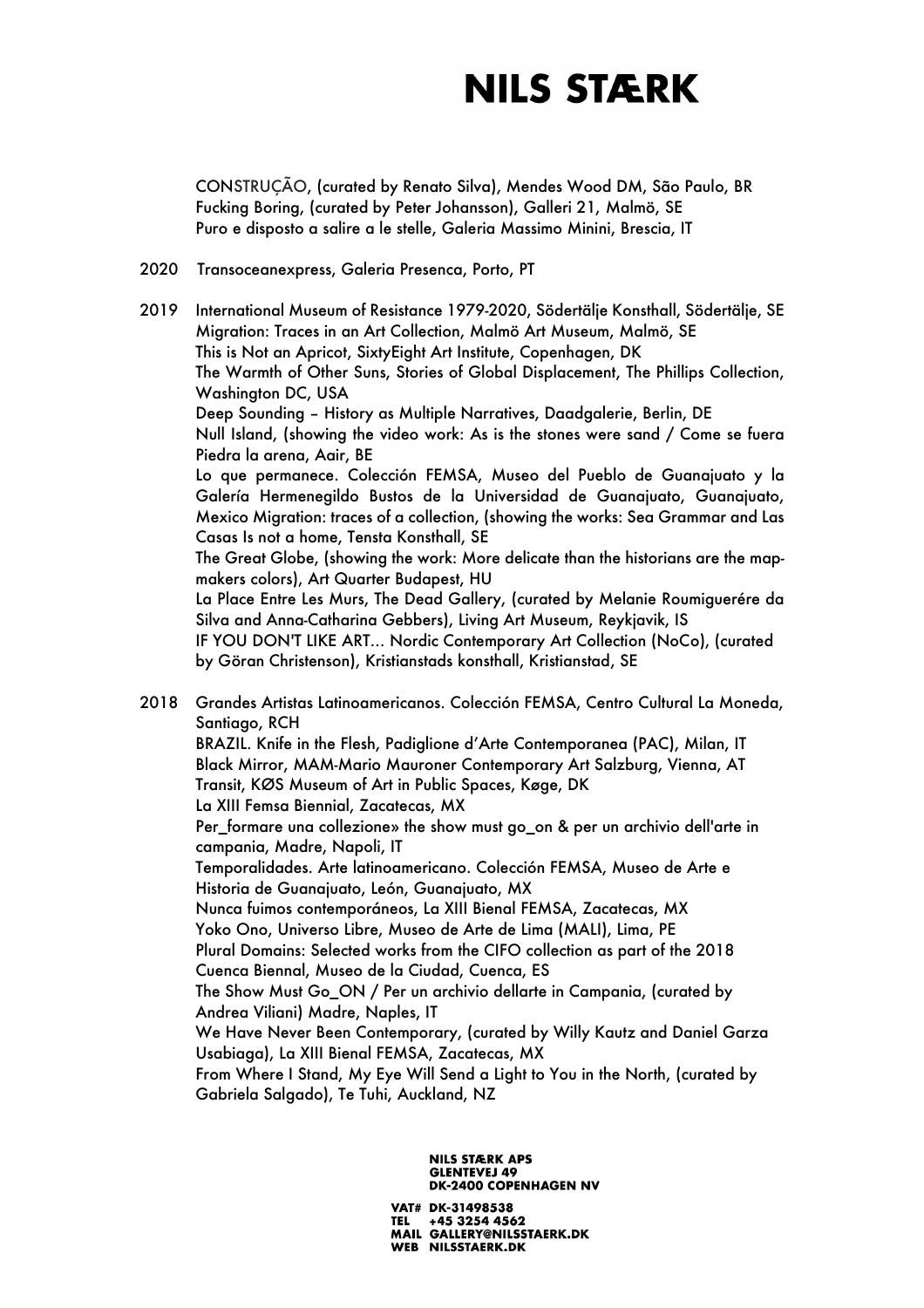CONSTRUÇÃO, (curated by Renato Silva), Mendes Wood DM, São Paulo, BR Fucking Boring, (curated by Peter Johansson), Galleri 21, Malmö, SE Puro e disposto a salire a le stelle, Galeria Massimo Minini, Brescia, IT

### 2020 Transoceanexpress, Galeria Presenca, Porto, PT

2019 International Museum of Resistance 1979-2020, Södertälje Konsthall, Södertälje, SE Migration: Traces in an Art Collection, Malmö Art Museum, Malmö, SE This is Not an Apricot, SixtyEight Art Institute, Copenhagen, DK The Warmth of Other Suns, Stories of Global Displacement, The Phillips Collection, Washington DC, USA Deep Sounding – History as Multiple Narratives, Daadgalerie, Berlin, DE Null Island, (showing the video work: As is the stones were sand / Come se fuera Piedra la arena, Aair, BE Lo que permanece. Colección FEMSA, Museo del Pueblo de Guanajuato y la Galería Hermenegildo Bustos de la Universidad de Guanajuato, Guanajuato, Mexico Migration: traces of a collection, (showing the works: Sea Grammar and Las Casas Is not a home, Tensta Konsthall, SE The Great Globe, (showing the work: More delicate than the historians are the mapmakers colors), Art Quarter Budapest, HU La Place Entre Les Murs, The Dead Gallery, (curated by Melanie Roumiguerére da Silva and Anna-Catharina Gebbers), Living Art Museum, Reykjavik, IS IF YOU DON'T LIKE ART… Nordic Contemporary Art Collection (NoCo), (curated by Göran Christenson), Kristianstads konsthall, Kristianstad, SE

2018 Grandes Artistas Latinoamericanos. Colección FEMSA, Centro Cultural La Moneda, Santiago, RCH BRAZIL. Knife in the Flesh, Padiglione d'Arte Contemporanea (PAC), Milan, IT Black Mirror, MAM-Mario Mauroner Contemporary Art Salzburg, Vienna, AT Transit, KØS Museum of Art in Public Spaces, Køge, DK La XIII Femsa Biennial, Zacatecas, MX Per\_formare una collezione» the show must go\_on & per un archivio dell'arte in campania, Madre, Napoli, IT Temporalidades. Arte latinoamericano. Colección FEMSA, Museo de Arte e Historia de Guanajuato, León, Guanajuato, MX Nunca fuimos contemporáneos, La XIII Bienal FEMSA, Zacatecas, MX Yoko Ono, Universo Libre, Museo de Arte de Lima (MALI), Lima, PE Plural Domains: Selected works from the CIFO collection as part of the 2018 Cuenca Biennal, Museo de la Ciudad, Cuenca, ES The Show Must Go\_ON / Per un archivio dellarte in Campania, (curated by Andrea Viliani) Madre, Naples, IT We Have Never Been Contemporary, (curated by Willy Kautz and Daniel Garza

Usabiaga), La XIII Bienal FEMSA, Zacatecas, MX From Where I Stand, My Eye Will Send a Light to You in the North, (curated by Gabriela Salgado), Te Tuhi, Auckland, NZ

#### **NILS STÆRK APS GLENTEVEJ 49 DK-2400 COPENHAGEN NV**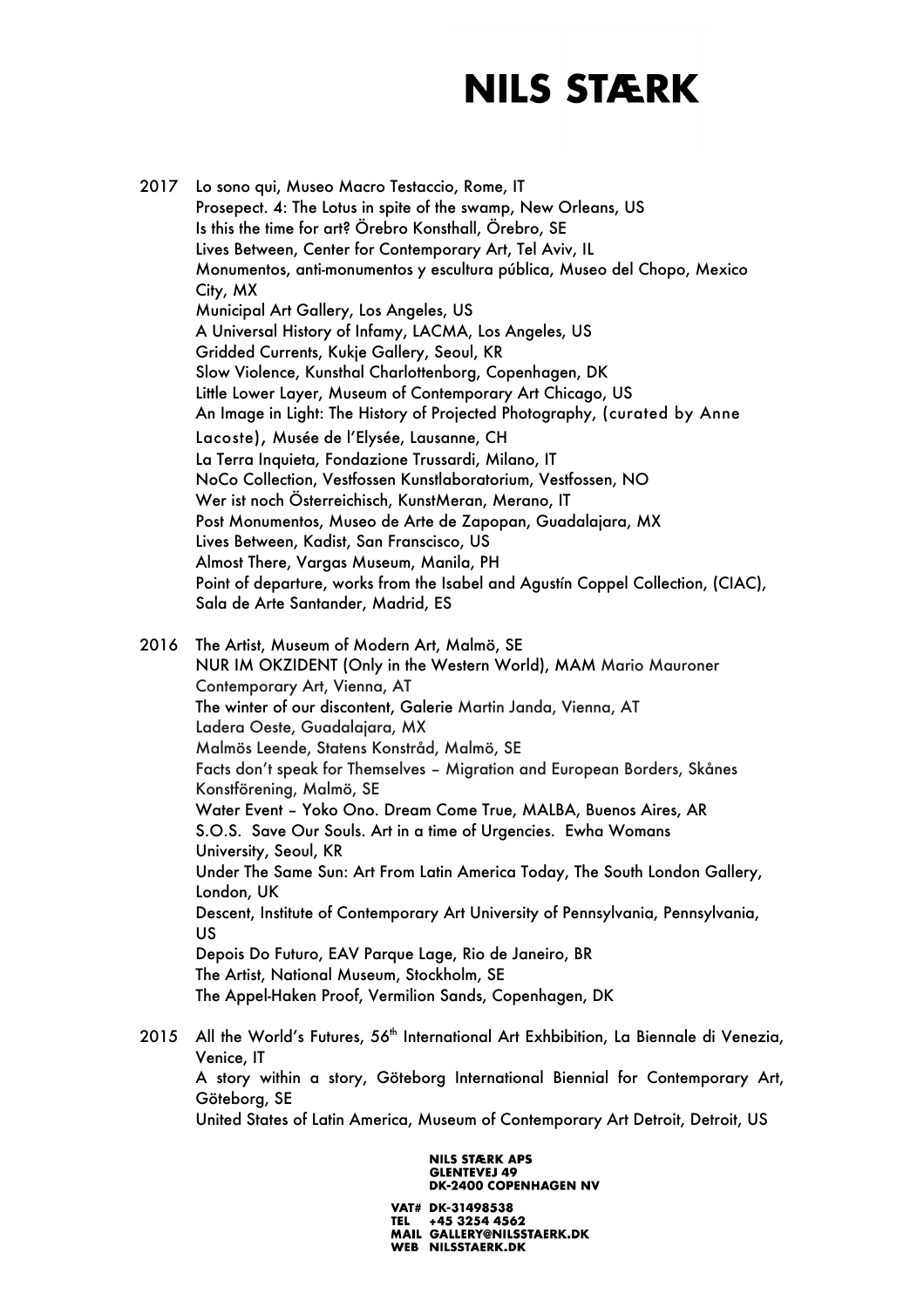2017 Lo sono qui, Museo Macro Testaccio, Rome, IT Prosepect. 4: The Lotus in spite of the swamp, New Orleans, US Is this the time for art? Örebro Konsthall, Örebro, SE Lives Between, Center for Contemporary Art, Tel Aviv, IL Monumentos, anti-monumentos y escultura pública, Museo del Chopo, Mexico City, MX Municipal Art Gallery, Los Angeles, US A Universal History of Infamy, LACMA, Los Angeles, US Gridded Currents, Kukje Gallery, Seoul, KR Slow Violence, Kunsthal Charlottenborg, Copenhagen, DK Little Lower Layer, Museum of Contemporary Art Chicago, US An Image in Light: The History of Projected Photography, (curated by Anne Lacoste), Musée de l'Elysée, Lausanne, CH La Terra Inquieta, Fondazione Trussardi, Milano, IT NoCo Collection, Vestfossen Kunstlaboratorium, Vestfossen, NO Wer ist noch Österreichisch, KunstMeran, Merano, IT Post Monumentos, Museo de Arte de Zapopan, Guadalajara, MX Lives Between, Kadist, San Franscisco, US Almost There, Vargas Museum, Manila, PH Point of departure, works from the Isabel and Agustín Coppel Collection, (CIAC), Sala de Arte Santander, Madrid, ES 2016 The Artist, Museum of Modern Art, Malmö, SE

NUR IM OKZIDENT (Only in the Western World), MAM Mario Mauroner Contemporary Art, Vienna, AT The winter of our discontent, Galerie Martin Janda, Vienna, AT Ladera Oeste, Guadalajara, MX Malmös Leende, Statens Konstråd, Malmö, SE Facts don't speak for Themselves – Migration and European Borders, Skånes Konstförening, Malmö, SE Water Event – Yoko Ono. Dream Come True, MALBA, Buenos Aires, AR S.O.S. Save Our Souls. Art in a time of Urgencies. Ewha Womans University, Seoul, KR Under The Same Sun: Art From Latin America Today, The South London Gallery, London, UK Descent, Institute of Contemporary Art University of Pennsylvania, Pennsylvania, US Depois Do Futuro, EAV Parque Lage, Rio de Janeiro, BR The Artist, National Museum, Stockholm, SE The Appel-Haken Proof, Vermilion Sands, Copenhagen, DK

2015 All the World's Futures, 56<sup>th</sup> International Art Exhbibition, La Biennale di Venezia, Venice, IT A story within a story, Göteborg International Biennial for Contemporary Art, Göteborg, SE United States of Latin America, Museum of Contemporary Art Detroit, Detroit, US

> **NILS STÆRK APS GLENTEVEJ 49 DK-2400 COPENHAGEN NV**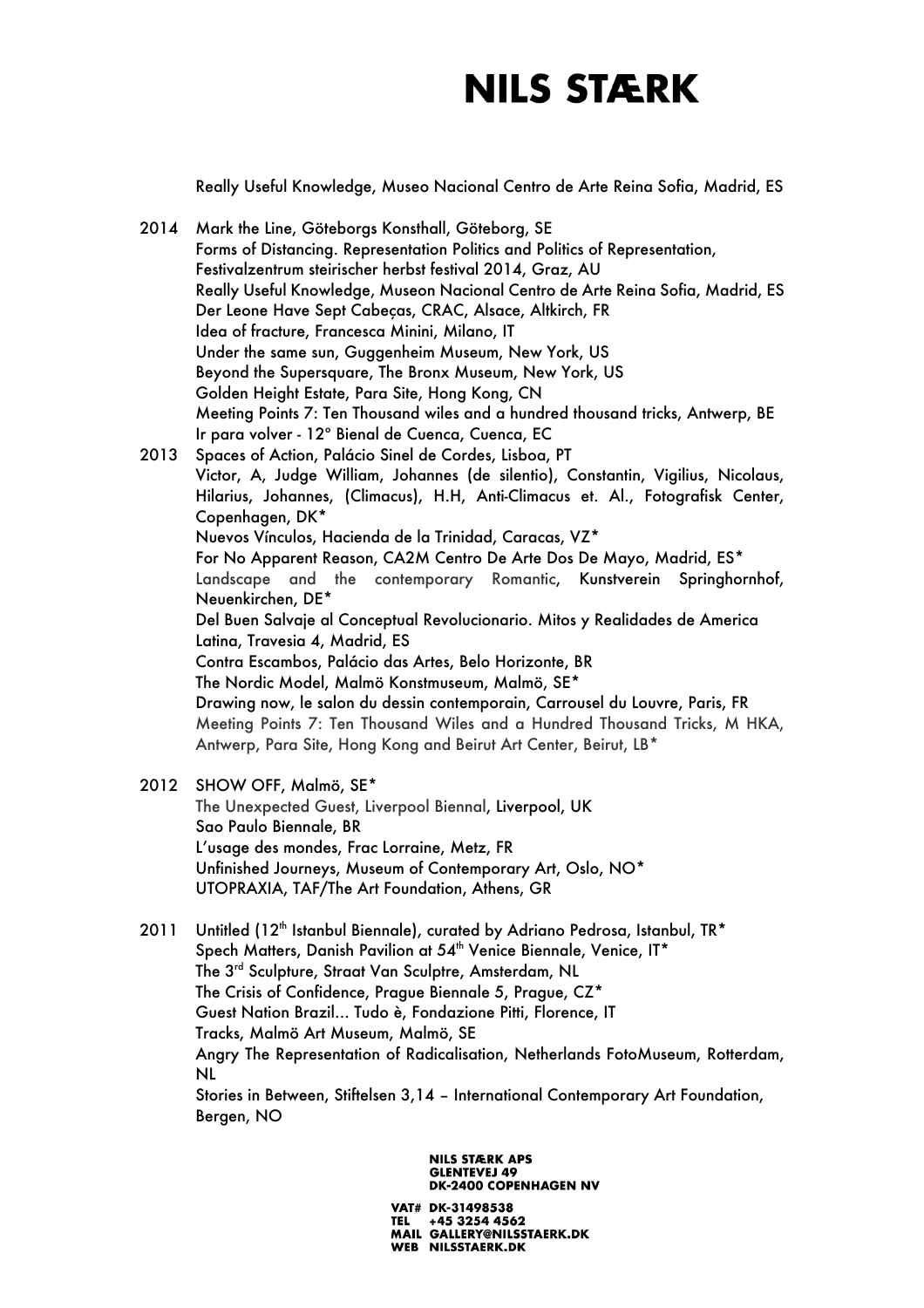Really Useful Knowledge, Museo Nacional Centro de Arte Reina Sofia, Madrid, ES

- 2014 Mark the Line, Göteborgs Konsthall, Göteborg, SE Forms of Distancing. Representation Politics and Politics of Representation, Festivalzentrum steirischer herbst festival 2014, Graz, AU Really Useful Knowledge, Museon Nacional Centro de Arte Reina Sofia, Madrid, ES Der Leone Have Sept Cabeças, CRAC, Alsace, Altkirch, FR Idea of fracture, Francesca Minini, Milano, IT Under the same sun, Guggenheim Museum, New York, US Beyond the Supersquare, The Bronx Museum, New York, US Golden Height Estate, Para Site, Hong Kong, CN Meeting Points 7: Ten Thousand wiles and a hundred thousand tricks, Antwerp, BE Ir para volver - 12º Bienal de Cuenca, Cuenca, EC 2013 Spaces of Action, Palácio Sinel de Cordes, Lisboa, PT Victor, A, Judge William, Johannes (de silentio), Constantin, Vigilius, Nicolaus, Hilarius, Johannes, (Climacus), H.H, Anti-Climacus et. Al., Fotografisk Center, Copenhagen, DK\* Nuevos Vínculos, Hacienda de la Trinidad, Caracas, VZ\* For No Apparent Reason, CA2M Centro De Arte Dos De Mayo, Madrid, ES\* Landscape and the contemporary Romantic, Kunstverein Springhornhof, Neuenkirchen, DE\* Del Buen Salvaje al Conceptual Revolucionario. Mitos y Realidades de America Latina, Travesia 4, Madrid, ES Contra Escambos, Palácio das Artes, Belo Horizonte, BR The Nordic Model, Malmö Konstmuseum, Malmö, SE\* Drawing now, le salon du dessin contemporain, Carrousel du Louvre, Paris, FR Meeting Points 7: Ten Thousand Wiles and a Hundred Thousand Tricks, M HKA, Antwerp, Para Site, Hong Kong and Beirut Art Center, Beirut, LB\*
- 2012 SHOW OFF, Malmö, SE\* The Unexpected Guest, Liverpool Biennal, Liverpool, UK Sao Paulo Biennale, BR L'usage des mondes, Frac Lorraine, Metz, FR Unfinished Journeys, Museum of Contemporary Art, Oslo, NO\* UTOPRAXIA, TAF/The Art Foundation, Athens, GR
- 2011 Untitled (12<sup>th</sup> Istanbul Biennale), curated by Adriano Pedrosa, Istanbul, TR<sup>\*</sup> Spech Matters, Danish Pavilion at 54<sup>th</sup> Venice Biennale, Venice, IT\* The 3rd Sculpture, Straat Van Sculptre, Amsterdam, NL The Crisis of Confidence, Prague Biennale 5, Prague, CZ\* Guest Nation Brazil… Tudo è, Fondazione Pitti, Florence, IT Tracks, Malmö Art Museum, Malmö, SE Angry The Representation of Radicalisation, Netherlands FotoMuseum, Rotterdam, NL Stories in Between, Stiftelsen 3,14 – International Contemporary Art Foundation, Bergen, NO

### **NILS STÆRK APS GLENTEVEJ 49 DK-2400 COPENHAGEN NV**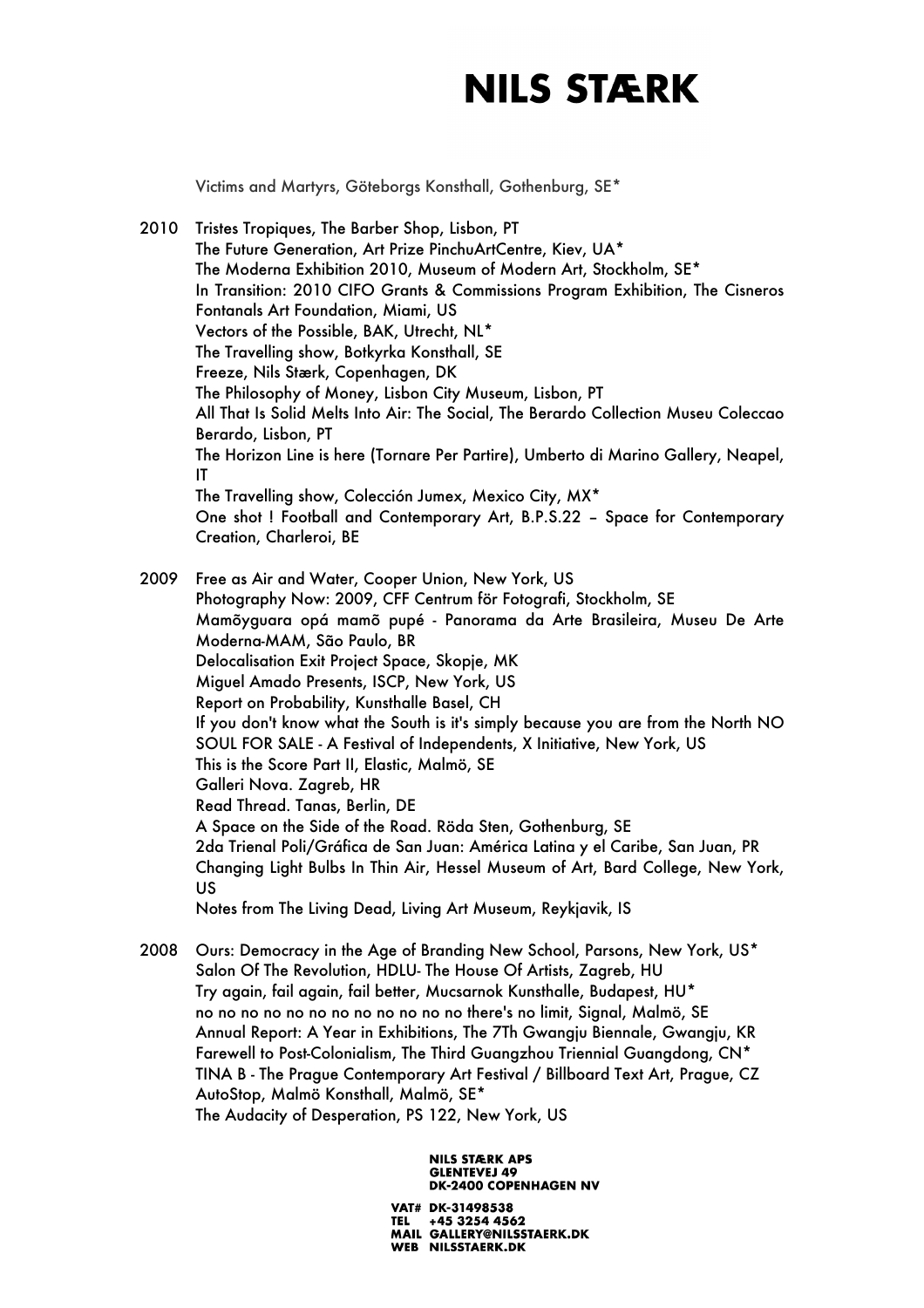Victims and Martyrs, Göteborgs Konsthall, Gothenburg, SE\*

2010 Tristes Tropiques, The Barber Shop, Lisbon, PT The Future Generation, Art Prize PinchuArtCentre, Kiev, UA\* The Moderna Exhibition 2010, Museum of Modern Art, Stockholm, SE\* In Transition: 2010 CIFO Grants & Commissions Program Exhibition, The Cisneros Fontanals Art Foundation, Miami, US Vectors of the Possible, BAK, Utrecht, NL\* The Travelling show, Botkyrka Konsthall, SE Freeze, Nils Stærk, Copenhagen, DK The Philosophy of Money, Lisbon City Museum, Lisbon, PT All That Is Solid Melts Into Air: The Social, The Berardo Collection Museu Coleccao Berardo, Lisbon, PT The Horizon Line is here (Tornare Per Partire), Umberto di Marino Gallery, Neapel, IT The Travelling show, Colección Jumex, Mexico City, MX\* One shot ! Football and Contemporary Art, B.P.S.22 – Space for Contemporary Creation, Charleroi, BE

2009 Free as Air and Water, Cooper Union, New York, US Photography Now: 2009, CFF Centrum för Fotografi, Stockholm, SE Mamõyguara opá mamõ pupé - Panorama da Arte Brasileira, Museu De Arte Moderna-MAM, São Paulo, BR Delocalisation Exit Project Space, Skopje, MK Miguel Amado Presents, ISCP, New York, US Report on Probability, Kunsthalle Basel, CH If you don't know what the South is it's simply because you are from the North NO SOUL FOR SALE - A Festival of Independents, X Initiative, New York, US This is the Score Part II, Elastic, Malmö, SE Galleri Nova. Zagreb, HR Read Thread. Tanas, Berlin, DE A Space on the Side of the Road. Röda Sten, Gothenburg, SE 2da Trienal Poli/Gráfica de San Juan: América Latina y el Caribe, San Juan, PR Changing Light Bulbs In Thin Air, Hessel Museum of Art, Bard College, New York, US Notes from The Living Dead, Living Art Museum, Reykjavik, IS

2008 Ours: Democracy in the Age of Branding New School, Parsons, New York, US\* Salon Of The Revolution, HDLU- The House Of Artists, Zagreb, HU Try again, fail again, fail better, Mucsarnok Kunsthalle, Budapest, HU\* no no no no no no no no no no no no there's no limit, Signal, Malmö, SE Annual Report: A Year in Exhibitions, The 7Th Gwangju Biennale, Gwangju, KR Farewell to Post-Colonialism, The Third Guangzhou Triennial Guangdong, CN\* TINA B - The Prague Contemporary Art Festival / Billboard Text Art, Prague, CZ AutoStop, Malmö Konsthall, Malmö, SE\* The Audacity of Desperation, PS 122, New York, US

> **NILS STÆRK APS GLENTEVEJ 49 DK-2400 COPENHAGEN NV**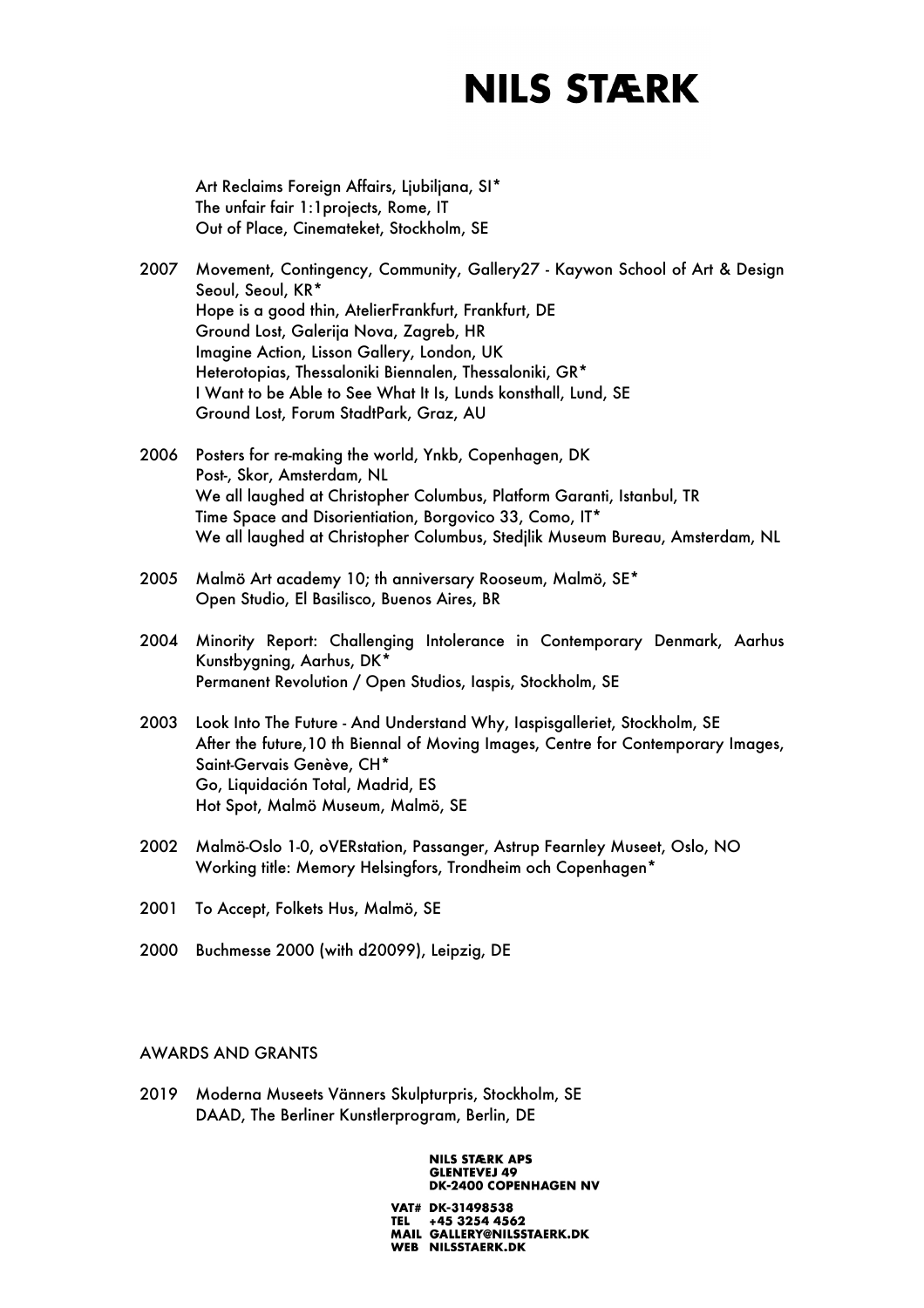Art Reclaims Foreign Affairs, Ljubiljana, SI\* The unfair fair 1:1projects, Rome, IT Out of Place, Cinemateket, Stockholm, SE

- 2007 Movement, Contingency, Community, Gallery27 Kaywon School of Art & Design Seoul, Seoul, KR\* Hope is a good thin, AtelierFrankfurt, Frankfurt, DE Ground Lost, Galerija Nova, Zagreb, HR Imagine Action, Lisson Gallery, London, UK Heterotopias, Thessaloniki Biennalen, Thessaloniki, GR\* I Want to be Able to See What It Is, Lunds konsthall, Lund, SE Ground Lost, Forum StadtPark, Graz, AU
- 2006 Posters for re-making the world, Ynkb, Copenhagen, DK Post-, Skor, Amsterdam, NL We all laughed at Christopher Columbus, Platform Garanti, Istanbul, TR Time Space and Disorientiation, Borgovico 33, Como, IT\* We all laughed at Christopher Columbus, Stedjlik Museum Bureau, Amsterdam, NL
- 2005 Malmö Art academy 10; th anniversary Rooseum, Malmö, SE\* Open Studio, El Basilisco, Buenos Aires, BR
- 2004 Minority Report: Challenging Intolerance in Contemporary Denmark, Aarhus Kunstbygning, Aarhus, DK\* Permanent Revolution / Open Studios, Iaspis, Stockholm, SE
- 2003 Look Into The Future And Understand Why, Iaspisgalleriet, Stockholm, SE After the future,10 th Biennal of Moving Images, Centre for Contemporary Images, Saint-Gervais Genève, CH\* Go, Liquidación Total, Madrid, ES Hot Spot, Malmö Museum, Malmö, SE
- 2002 Malmö-Oslo 1-0, oVERstation, Passanger, Astrup Fearnley Museet, Oslo, NO Working title: Memory Helsingfors, Trondheim och Copenhagen\*
- 2001 To Accept, Folkets Hus, Malmö, SE
- 2000 Buchmesse 2000 (with d20099), Leipzig, DE

## AWARDS AND GRANTS

2019 Moderna Museets Vänners Skulpturpris, Stockholm, SE DAAD, The Berliner Kunstlerprogram, Berlin, DE

#### **NILS STÆRK APS GLENTEVEJ 49 DK-2400 COPENHAGEN NV**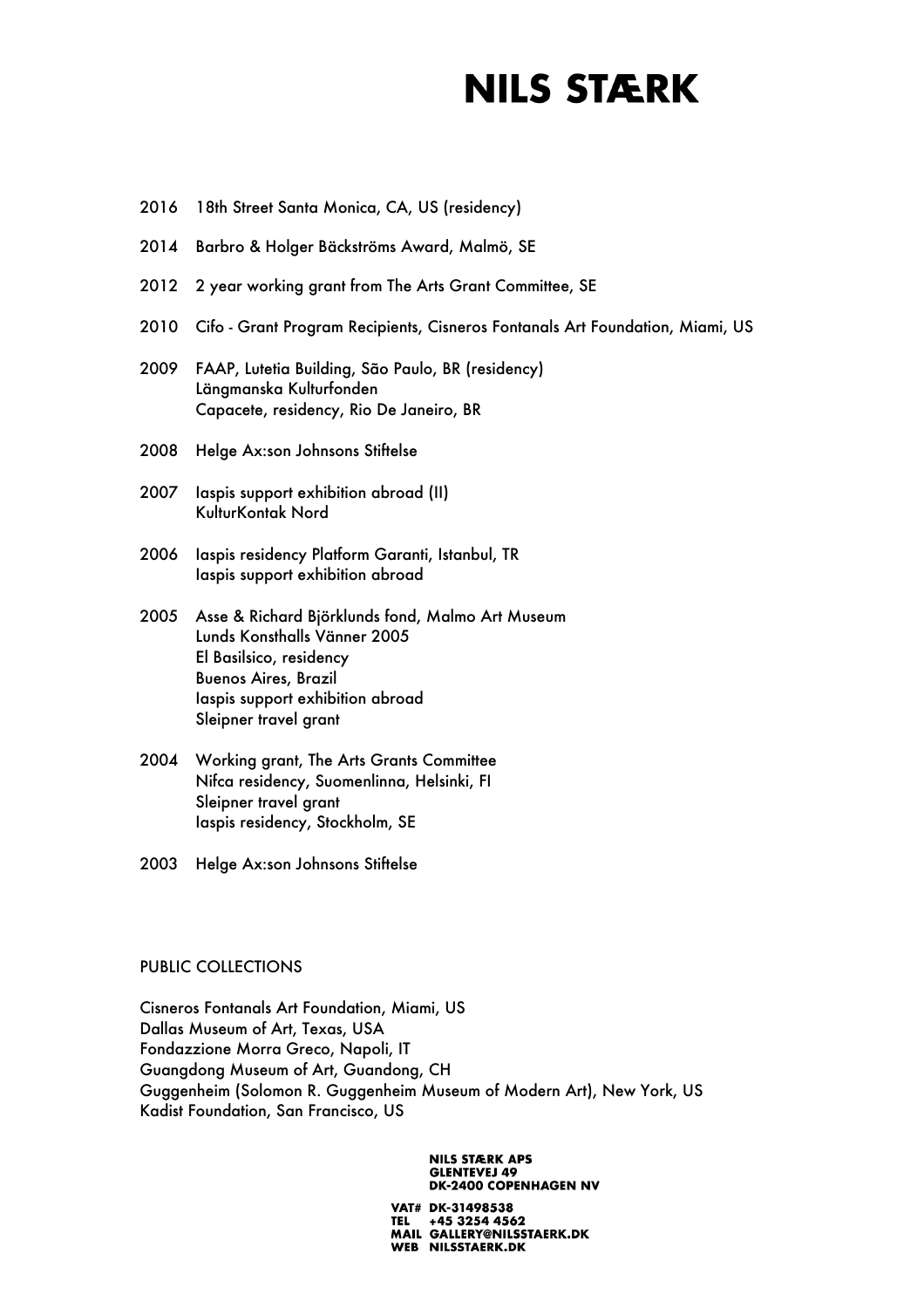- 2016 18th Street Santa Monica, CA, US (residency)
- 2014 Barbro & Holger Bäckströms Award, Malmö, SE
- 2012 2 year working grant from The Arts Grant Committee, SE
- 2010 Cifo Grant Program Recipients, Cisneros Fontanals Art Foundation, Miami, US
- 2009 FAAP, Lutetia Building, São Paulo, BR (residency) Längmanska Kulturfonden Capacete, residency, Rio De Janeiro, BR
- 2008 Helge Ax:son Johnsons Stiftelse
- 2007 Iaspis support exhibition abroad (II) KulturKontak Nord
- 2006 Iaspis residency Platform Garanti, Istanbul, TR Iaspis support exhibition abroad
- 2005 Asse & Richard Björklunds fond, Malmo Art Museum Lunds Konsthalls Vänner 2005 El Basilsico, residency Buenos Aires, Brazil Iaspis support exhibition abroad Sleipner travel grant
- 2004 Working grant, The Arts Grants Committee Nifca residency, Suomenlinna, Helsinki, FI Sleipner travel grant Iaspis residency, Stockholm, SE
- 2003 Helge Ax:son Johnsons Stiftelse

### PUBLIC COLLECTIONS

Cisneros Fontanals Art Foundation, Miami, US Dallas Museum of Art, Texas, USA Fondazzione Morra Greco, Napoli, IT Guangdong Museum of Art, Guandong, CH Guggenheim (Solomon R. Guggenheim Museum of Modern Art), New York, US Kadist Foundation, San Francisco, US

#### **NILS STÆRK APS GLENTEVEJ 49 DK-2400 COPENHAGEN NV**